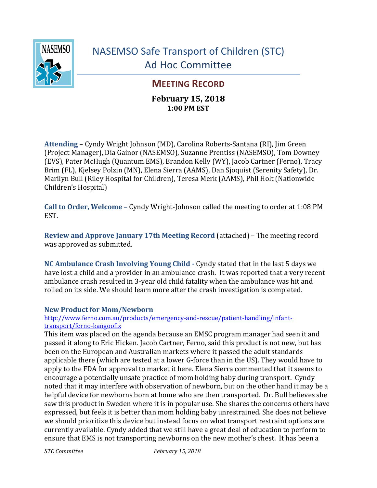

# NASEMSO Safe Transport of Children (STC) Ad Hoc Committee

# **MEETING RECORD**

### **February 15, 2018 1:00 PM EST**

**Attending** – Cyndy Wright Johnson (MD), Carolina Roberts-Santana (RI), Jim Green (Project Manager), Dia Gainor (NASEMSO), Suzanne Prentiss (NASEMSO), Tom Downey (EVS), Pater McHugh (Quantum EMS), Brandon Kelly (WY), Jacob Cartner (Ferno), Tracy Brim (FL), Kjelsey Polzin (MN), Elena Sierra (AAMS), Dan Sjoquist (Serenity Safety), Dr. Marilyn Bull (Riley Hospital for Children), Teresa Merk (AAMS), Phil Holt (Nationwide Children's Hospital)

**Call to Order, Welcome** – Cyndy Wright-Johnson called the meeting to order at 1:08 PM EST.

**Review and Approve January 17th Meeting Record** (attached) – The meeting record was approved as submitted.

**NC Ambulance Crash Involving Young Child -** Cyndy stated that in the last 5 days we have lost a child and a provider in an ambulance crash. It was reported that a very recent ambulance crash resulted in 3-year old child fatality when the ambulance was hit and rolled on its side. We should learn more after the crash investigation is completed.

#### **New Product for Mom/Newborn**

#### [http://www.ferno.com.au/products/emergency-and-rescue/patient-handling/infant](http://www.ferno.com.au/products/emergency-and-rescue/patient-handling/infant-transport/ferno-kangoofix)[transport/ferno-kangoofix](http://www.ferno.com.au/products/emergency-and-rescue/patient-handling/infant-transport/ferno-kangoofix)

This item was placed on the agenda because an EMSC program manager had seen it and passed it along to Eric Hicken. Jacob Cartner, Ferno, said this product is not new, but has been on the European and Australian markets where it passed the adult standards applicable there (which are tested at a lower G-force than in the US). They would have to apply to the FDA for approval to market it here. Elena Sierra commented that it seems to encourage a potentially unsafe practice of mom holding baby during transport. Cyndy noted that it may interfere with observation of newborn, but on the other hand it may be a helpful device for newborns born at home who are then transported. Dr. Bull believes she saw this product in Sweden where it is in popular use. She shares the concerns others have expressed, but feels it is better than mom holding baby unrestrained. She does not believe we should prioritize this device but instead focus on what transport restraint options are currently available. Cyndy added that we still have a great deal of education to perform to ensure that EMS is not transporting newborns on the new mother's chest. It has been a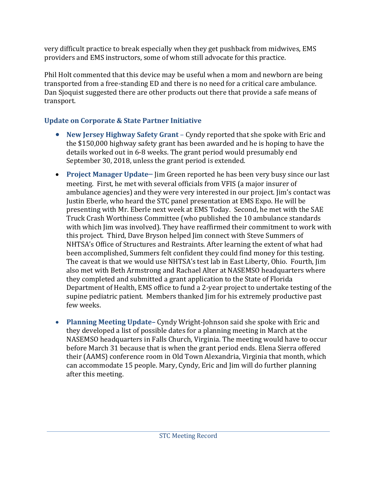very difficult practice to break especially when they get pushback from midwives, EMS providers and EMS instructors, some of whom still advocate for this practice.

Phil Holt commented that this device may be useful when a mom and newborn are being transported from a free-standing ED and there is no need for a critical care ambulance. Dan Sjoquist suggested there are other products out there that provide a safe means of transport.

## **Update on Corporate & State Partner Initiative**

- **New Jersey Highway Safety Grant** Cyndy reported that she spoke with Eric and the \$150,000 highway safety grant has been awarded and he is hoping to have the details worked out in 6-8 weeks. The grant period would presumably end September 30, 2018, unless the grant period is extended.
- **Project Manager Update** Jim Green reported he has been very busy since our last meeting.First, he met with several officials from VFIS (a major insurer of ambulance agencies) and they were very interested in our project. Jim's contact was Justin Eberle, who heard the STC panel presentation at EMS Expo. He will be presenting with Mr. Eberle next week at EMS Today. Second, he met with the SAE Truck Crash Worthiness Committee (who published the 10 ambulance standards with which Jim was involved). They have reaffirmed their commitment to work with this project. Third, Dave Bryson helped Jim connect with Steve Summers of NHTSA's Office of Structures and Restraints. After learning the extent of what had been accomplished, Summers felt confident they could find money for this testing. The caveat is that we would use NHTSA's test lab in East Liberty, Ohio. Fourth, Jim also met with Beth Armstrong and Rachael Alter at NASEMSO headquarters where they completed and submitted a grant application to the State of Florida Department of Health, EMS office to fund a 2-year project to undertake testing of the supine pediatric patient. Members thanked Jim for his extremely productive past few weeks.
- **Planning Meeting Update–** Cyndy Wright-Johnson said she spoke with Eric and they developed a list of possible dates for a planning meeting in March at the NASEMSO headquarters in Falls Church, Virginia. The meeting would have to occur before March 31 because that is when the grant period ends. Elena Sierra offered their (AAMS) conference room in Old Town Alexandria, Virginia that month, which can accommodate 15 people. Mary, Cyndy, Eric and Jim will do further planning after this meeting.